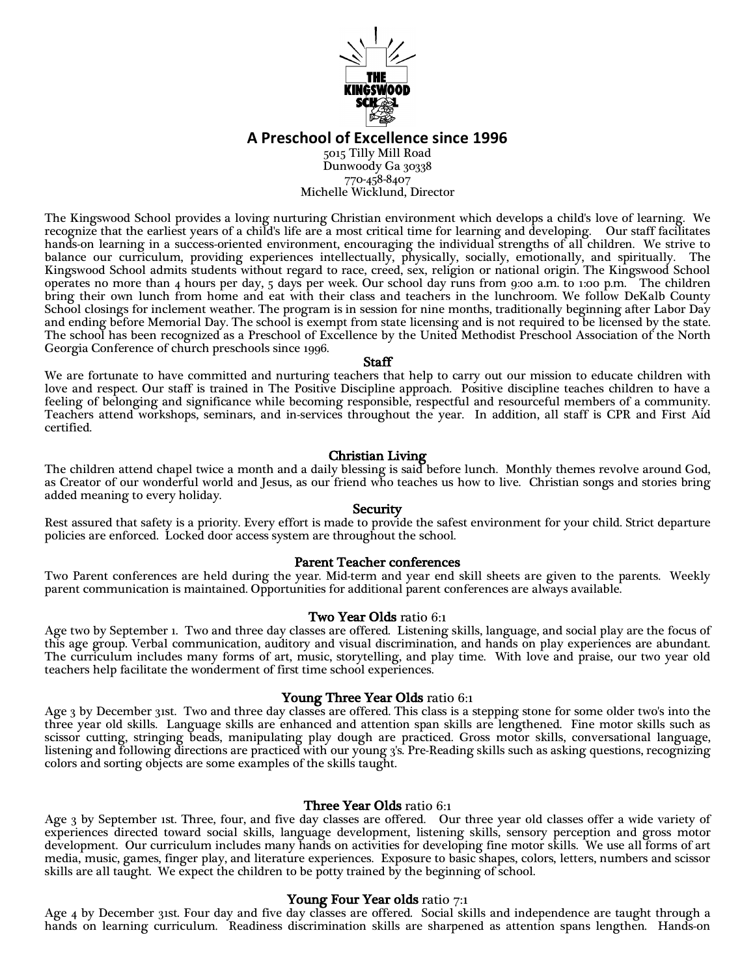

**A Preschool of Excellence since 1996**

5015 Tilly Mill Road Dunwoody Ga 30338 770-458-8407 Michelle Wicklund, Director

The Kingswood School provides a loving nurturing Christian environment which develops a child's love of learning. We recognize that the earliest years of a child's life are a most critical time for learning and developing. Our staff facilitates hands-on learning in a success-oriented environment, encouraging the individual strengths of all children. We strive to balance our curriculum, providing experiences intellectually, physically, socially, emotionally, and spiritually. The Kingswood School admits students without regard to race, creed, sex, religion or national origin. The Kingswood School operates no more than 4 hours per day, 5 days per week. Our school day runs from 9:00 a.m. to 1:00 p.m. The children bring their own lunch from home and eat with their class and teachers in the lunchroom. We follow DeKalb County School closings for inclement weather. The program is in session for nine months, traditionally beginning after Labor Day and ending before Memorial Day. The school is exempt from state licensing and is not required to be licensed by the state. The school has been recognized as a Preschool of Excellence by the United Methodist Preschool Association of the North Georgia Conference of church preschools since 1996.

#### Staff

We are fortunate to have committed and nurturing teachers that help to carry out our mission to educate children with love and respect. Our staff is trained in The Positive Discipline approach. Positive discipline teaches children to have a feeling of belonging and significance while becoming responsible, respectful and resourceful members of a community. Teachers attend workshops, seminars, and in-services throughout the year. In addition, all staff is CPR and First Aid certified.

# Christian Living

The children attend chapel twice a month and a daily blessing is said before lunch. Monthly themes revolve around God, as Creator of our wonderful world and Jesus, as our friend who teaches us how to live. Christian songs and stories bring added meaning to every holiday.

# **Security**

Rest assured that safety is a priority. Every effort is made to provide the safest environment for your child. Strict departure policies are enforced. Locked door access system are throughout the school.

### Parent Teacher conferences

Two Parent conferences are held during the year. Mid-term and year end skill sheets are given to the parents. Weekly parent communication is maintained. Opportunities for additional parent conferences are always available.

### Two Year Olds ratio 6:1

Age two by September 1. Two and three day classes are offered. Listening skills, language, and social play are the focus of this age group. Verbal communication, auditory and visual discrimination, and hands on play experiences are abundant. The curriculum includes many forms of art, music, storytelling, and play time. With love and praise, our two year old teachers help facilitate the wonderment of first time school experiences.

### Young Three Year Olds ratio 6:1

Age 3 by December 31st. Two and three day classes are offered. This class is a stepping stone for some older two's into the three year old skills. Language skills are enhanced and attention span skills are lengthened. Fine motor skills such as scissor cutting, stringing beads, manipulating play dough are practiced. Gross motor skills, conversational language, listening and following directions are practiced with our young 3's. Pre-Reading skills such as asking questions, recognizing colors and sorting objects are some examples of the skills taught.

### Three Year Olds ratio 6:1

Age 3 by September 1st. Three, four, and five day classes are offered. Our three year old classes offer a wide variety of experiences directed toward social skills, language development, listening skills, sensory perception and gross motor development. Our curriculum includes many hands on activities for developing fine motor skills. We use all forms of art media, music, games, finger play, and literature experiences. Exposure to basic shapes, colors, letters, numbers and scissor skills are all taught. We expect the children to be potty trained by the beginning of school.

### Young Four Year olds ratio 7:1

Age 4 by December 31st. Four day and five day classes are offered. Social skills and independence are taught through a hands on learning curriculum. Readiness discrimination skills are sharpened as attention spans lengthen. Hands-on